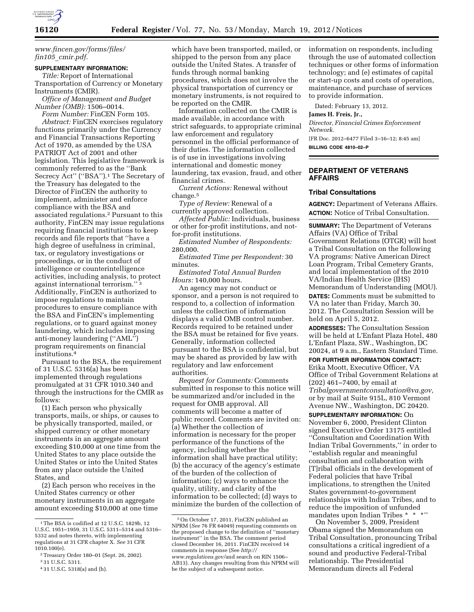

*[www.fincen.gov/forms/files/](http://www.fincen.gov/forms/files/fin105_cmir.pdf)  fin105*\_*[cmir.pdf.](http://www.fincen.gov/forms/files/fin105_cmir.pdf)* 

#### **SUPPLEMENTARY INFORMATION:**

*Title:* Report of International Transportation of Currency or Monetary Instruments (CMIR).

*Office of Management and Budget Number (OMB):* 1506–0014.

*Form Number:* FinCEN Form 105. *Abstract:* FinCEN exercises regulatory functions primarily under the Currency and Financial Transactions Reporting Act of 1970, as amended by the USA PATRIOT Act of 2001 and other legislation. This legislative framework is commonly referred to as the ''Bank Secrecy Act" ("BSA").<sup>1</sup> The Secretary of the Treasury has delegated to the Director of FinCEN the authority to implement, administer and enforce compliance with the BSA and associated regulations.2 Pursuant to this authority, FinCEN may issue regulations requiring financial institutions to keep records and file reports that ''have a high degree of usefulness in criminal, tax, or regulatory investigations or proceedings, or in the conduct of intelligence or counterintelligence activities, including analysis, to protect against international terrorism.'' 3 Additionally, FinCEN is authorized to impose regulations to maintain procedures to ensure compliance with the BSA and FinCEN's implementing regulations, or to guard against money laundering, which includes imposing anti-money laundering (''AML'') program requirements on financial institutions.4

Pursuant to the BSA, the requirement of 31 U.S.C. 5316(a) has been implemented through regulations promulgated at 31 CFR 1010.340 and through the instructions for the CMIR as follows:

(1) Each person who physically transports, mails, or ships, or causes to be physically transported, mailed, or shipped currency or other monetary instruments in an aggregate amount exceeding \$10,000 at one time from the United States to any place outside the United States or into the United States from any place outside the United States, and

(2) Each person who receives in the United States currency or other monetary instruments in an aggregate amount exceeding \$10,000 at one time

2Treasury Order 180–01 (Sept. 26, 2002).

which have been transported, mailed, or shipped to the person from any place outside the United States. A transfer of funds through normal banking procedures, which does not involve the physical transportation of currency or monetary instruments, is not required to be reported on the CMIR.

Information collected on the CMIR is made available, in accordance with strict safeguards, to appropriate criminal law enforcement and regulatory personnel in the official performance of their duties. The information collected is of use in investigations involving international and domestic money laundering, tax evasion, fraud, and other financial crimes.

*Current Actions:* Renewal without change.5

*Type of Review:* Renewal of a currently approved collection.

*Affected Public:* Individuals, business or other for-profit institutions, and notfor-profit institutions.

*Estimated Number of Respondents:*  280,000.

*Estimated Time per Respondent:* 30 minutes.

*Estimated Total Annual Burden Hours:* 140,000 hours.

An agency may not conduct or sponsor, and a person is not required to respond to, a collection of information unless the collection of information displays a valid OMB control number. Records required to be retained under the BSA must be retained for five years. Generally, information collected pursuant to the BSA is confidential, but may be shared as provided by law with regulatory and law enforcement authorities.

*Request for Comments:* Comments submitted in response to this notice will be summarized and/or included in the request for OMB approval. All comments will become a matter of public record. Comments are invited on: (a) Whether the collection of information is necessary for the proper performance of the functions of the agency, including whether the information shall have practical utility; (b) the accuracy of the agency's estimate of the burden of the collection of information; (c) ways to enhance the quality, utility, and clarity of the information to be collected; (d) ways to minimize the burden of the collection of information on respondents, including through the use of automated collection techniques or other forms of information technology; and (e) estimates of capital or start-up costs and costs of operation, maintenance, and purchase of services to provide information.

Dated: February 13, 2012.

# **James H. Freis, Jr.,**

*Director, Financial Crimes Enforcement Network.* 

[FR Doc. 2012–6477 Filed 3–16–12; 8:45 am] **BILLING CODE 4810–02–P** 

# **DEPARTMENT OF VETERANS AFFAIRS**

### **Tribal Consultations**

**AGENCY:** Department of Veterans Affairs. **ACTION:** Notice of Tribal Consultation.

**SUMMARY:** The Department of Veterans Affairs (VA) Office of Tribal Government Relations (OTGR) will host a Tribal Consultation on the following VA programs: Native American Direct Loan Program, Tribal Cemetery Grants, and local implementation of the 2010 VA/Indian Health Service (IHS) Memorandum of Understanding (MOU). **DATES:** Comments must be submitted to VA no later than Friday, March 30, 2012. The Consultation Session will be held on April 5, 2012.

**ADDRESSES:** The Consultation Session will be held at L'Enfant Plaza Hotel, 480 L'Enfant Plaza, SW., Washington, DC 20024, at 9 a.m., Eastern Standard Time.

**FOR FURTHER INFORMATION CONTACT:**  Erika Moott, Executive Officer, VA Office of Tribal Government Relations at (202) 461–7400, by email at *[Tribalgovernmentconsultation@va.gov,](mailto:Tribalgovernmentconsultation@va.gov)*  or by mail at Suite 915L, 810 Vermont Avenue NW., Washington, DC 20420.

**SUPPLEMENTARY INFORMATION:** On November 6, 2000, President Clinton signed Executive Order 13175 entitled ''Consultation and Coordination With Indian Tribal Governments,'' in order to ''establish regular and meaningful consultation and collaboration with [T]ribal officials in the development of Federal policies that have Tribal implications, to strengthen the United States government-to-government relationships with Indian Tribes, and to reduce the imposition of unfunded mandates upon Indian Tribes \* \* \*''

On November 5, 2009, President Obama signed the Memorandum on Tribal Consultation, pronouncing Tribal consultations a critical ingredient of a sound and productive Federal-Tribal relationship. The Presidential Memorandum directs all Federal

<sup>1</sup>The BSA is codified at 12 U.S.C. 1829b, 12 U.S.C. 1951–1959, 31 U.S.C. 5311–5314 and 5316– 5332 and notes thereto, with implementing regulations at 31 CFR chapter X. *See* 31 CFR 1010.100(e).

<sup>3</sup> 31 U.S.C. 5311. 4 31 U.S.C. 5318(a) and (h).

<sup>5</sup>On October 17, 2011, FinCEN published an NPRM (*See* 76 FR 64049) requesting comments on the proposed change to the definition of ''monetary instrument'' in the BSA. The comment period closed December 16, 2011. FinCEN received 14 comments in response (See *[http://](http://www.regulations.gov)  [www.regulations.gov/](http://www.regulations.gov)*and search on RIN 1506– AB13). Any changes resulting from this NPRM will be the subject of a subsequent notice.